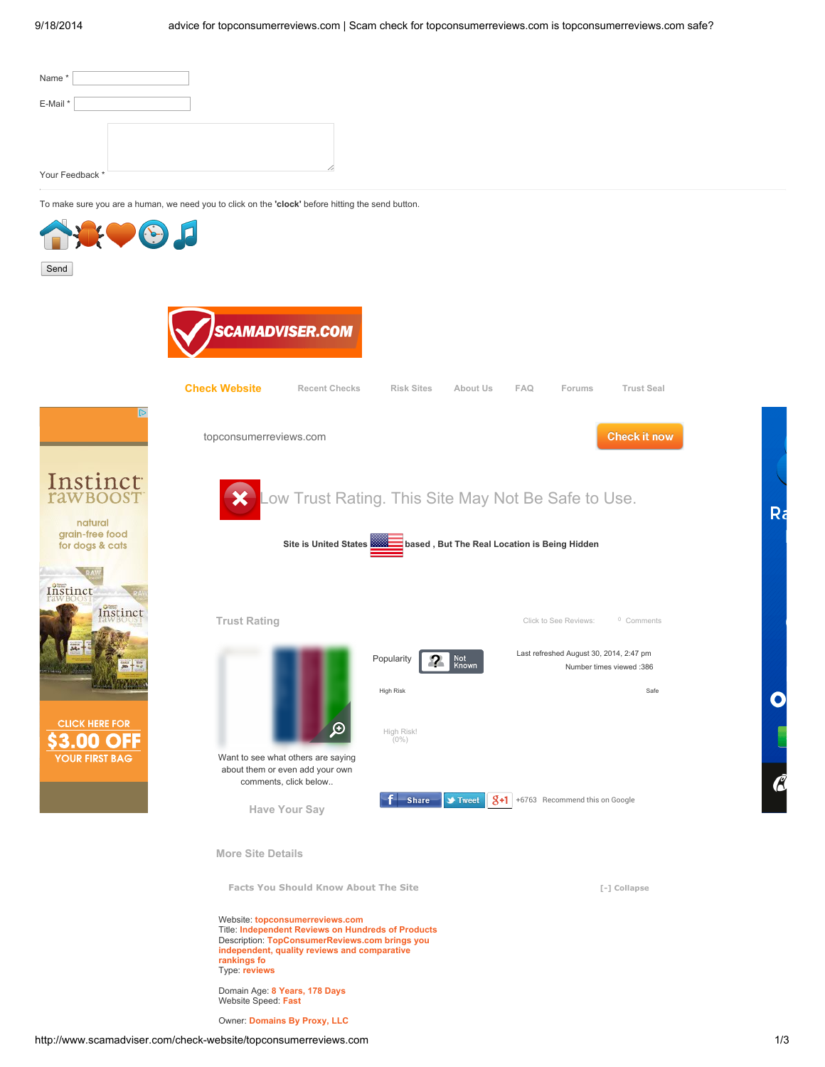| Name*                                                                                                     |  |  |
|-----------------------------------------------------------------------------------------------------------|--|--|
| E-Mail*                                                                                                   |  |  |
|                                                                                                           |  |  |
|                                                                                                           |  |  |
| Your Feedback *                                                                                           |  |  |
| To make sure you are a human, we need you to click on the 'clock' before hitting the send button.<br>____ |  |  |



Title: Independent Reviews on Hundreds of Products Description: TopConsumerReviews.com brings you independent, quality reviews and comparative rankings fo Type: reviews

Domain Age: 8 Years, 178 Days Website Speed: Fast

Owner: Domains By Proxy, LLC

Ra

 $\mathbf C$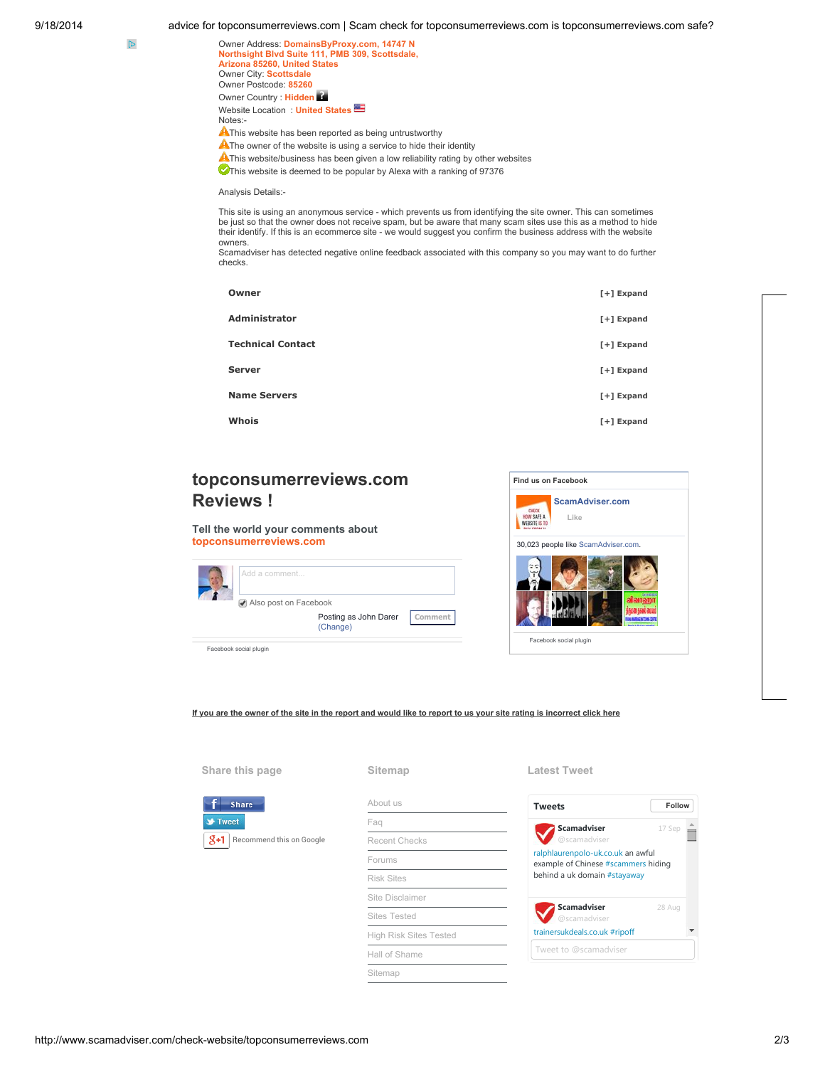9/18/2014 advice for topconsumerreviews.com | Scam check for topconsumerreviews.com is topconsumerreviews.com safe?

| Owner Address: DomainsByProxy.com, 14747 N                                        |
|-----------------------------------------------------------------------------------|
| Northsight Blvd Suite 111, PMB 309, Scottsdale,                                   |
| Arizona 85260, United States                                                      |
| Owner City: Scottsdale                                                            |
| Owner Postcode: 85260                                                             |
| Owner Country: Hidden                                                             |
| Website Location: United States                                                   |
| Notes:-                                                                           |
| A This website has been reported as being untrustworthy                           |
| AThe owner of the website is using a service to hide their identity               |
| A This website/business has been given a low reliability rating by other websites |
| This website is deemed to be popular by Alexa with a ranking of 97376             |

Analysis Details:-

This site is using an anonymous service - which prevents us from identifying the site owner. This can sometimes be just so that the owner does not receive spam, but be aware that many scam sites use this as a method to hide<br>their identify. If this is an ecommerce site - we would suggest you confirm the business address with the webs owners.

Scamadviser has detected negative online feedback associated with this company so you may want to do further checks.

| Owner                    | $[+]$ Expand |
|--------------------------|--------------|
| <b>Administrator</b>     | $[+]$ Expand |
| <b>Technical Contact</b> | $[+]$ Expand |
| <b>Server</b>            | $[+]$ Expand |
| <b>Name Servers</b>      | $[+]$ Expand |
| Whois                    | $[+]$ Expand |

## topconsumerreviews.com Reviews !

Tell the world your comments about topconsumerreviews.com Also post on Facebook Posting as John Darer (Change) Comment dd a comment

Facebook social plugin



If you are the owner of the site in the report and would like to report to us your site rating is incorrect click here

## Share this page

| <b>Share</b> |                          |  |  |  |  |
|--------------|--------------------------|--|--|--|--|
| Tweet        |                          |  |  |  |  |
| X+1.         | Recommend this on Google |  |  |  |  |

|  | . . |  |  |  |  |  |
|--|-----|--|--|--|--|--|



## Latest Tweet